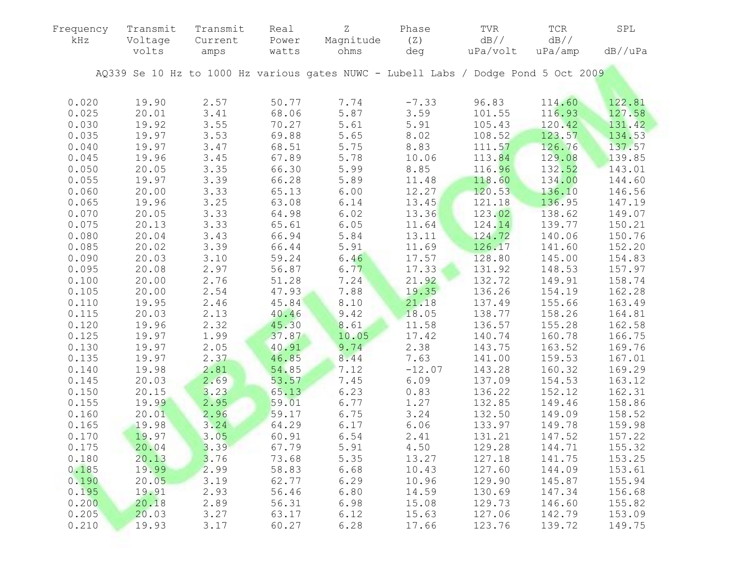| Frequency | Transmit | Transmit | Real  | Ζ                                                                                  | Phase    | TVR              | TCR     | SPL              |
|-----------|----------|----------|-------|------------------------------------------------------------------------------------|----------|------------------|---------|------------------|
| kHz       | Voltage  | Current  | Power | Magnitude                                                                          | (Z)      | dB//             | dB//    |                  |
|           | volts    | amps     | watts | ohms                                                                               | deg      | uPa/volt         | uPa/amp | dB//uPa          |
|           |          |          |       |                                                                                    |          |                  |         |                  |
|           |          |          |       | AQ339 Se 10 Hz to 1000 Hz various gates NUWC - Lubell Labs / Dodge Pond 5 Oct 2009 |          |                  |         |                  |
|           |          |          |       |                                                                                    |          |                  |         |                  |
| 0.020     | 19.90    | 2.57     | 50.77 | 7.74                                                                               | $-7.33$  | 96.83            | 114.60  | 122.81           |
| 0.025     | 20.01    | 3.41     | 68.06 | 5.87                                                                               | 3.59     | 101.55           | 116.93  | 127.58           |
| 0.030     | 19.92    | 3.55     | 70.27 |                                                                                    | 5.91     |                  | 120.42  |                  |
| 0.035     | 19.97    | 3.53     | 69.88 | 5.61<br>5.65                                                                       | 8.02     | 105.43<br>108.52 | 123.57  | 131.42           |
| 0.040     | 19.97    | 3.47     | 68.51 | 5.75                                                                               | 8.83     | 111.57           |         | 134.53<br>137.57 |
|           |          |          |       | 5.78                                                                               |          |                  | 126.76  |                  |
| 0.045     | 19.96    | 3.45     | 67.89 |                                                                                    | 10.06    | 113.84           | 129.08  | 139.85           |
| 0.050     | 20.05    | 3.35     | 66.30 | 5.99                                                                               | 8.85     | 116.96           | 132.52  | 143.01           |
| 0.055     | 19.97    | 3.39     | 66.28 | 5.89                                                                               | 11.48    | 118.60           | 134.00  | 144.60           |
| 0.060     | 20.00    | 3.33     | 65.13 | 6.00                                                                               | 12.27    | 120.53           | 136.10  | 146.56           |
| 0.065     | 19.96    | 3.25     | 63.08 | 6.14                                                                               | 13.45    | 121.18           | 136.95  | 147.19           |
| 0.070     | 20.05    | 3.33     | 64.98 | 6.02                                                                               | 13.36    | 123.02           | 138.62  | 149.07           |
| 0.075     | 20.13    | 3.33     | 65.61 | 6.05                                                                               | 11.64    | 124.14           | 139.77  | 150.21           |
| 0.080     | 20.04    | 3.43     | 66.94 | 5.84                                                                               | 13.11    | 124.72           | 140.06  | 150.76           |
| 0.085     | 20.02    | 3.39     | 66.44 | 5.91                                                                               | 11.69    | 126.17           | 141.60  | 152.20           |
| 0.090     | 20.03    | 3.10     | 59.24 | 6.46                                                                               | 17.57    | 128.80           | 145.00  | 154.83           |
| 0.095     | 20.08    | 2.97     | 56.87 | 6.77                                                                               | 17.33    | 131.92           | 148.53  | 157.97           |
| 0.100     | 20.00    | 2.76     | 51.28 | 7.24                                                                               | 21.92    | 132.72           | 149.91  | 158.74           |
| 0.105     | 20.00    | 2.54     | 47.93 | 7.88                                                                               | 19.35    | 136.26           | 154.19  | 162.28           |
| 0.110     | 19.95    | 2.46     | 45.84 | 8.10                                                                               | 21.18    | 137.49           | 155.66  | 163.49           |
| 0.115     | 20.03    | 2.13     | 40.46 | 9.42                                                                               | 18.05    | 138.77           | 158.26  | 164.81           |
| 0.120     | 19.96    | 2.32     | 45.30 | 8.61                                                                               | 11.58    | 136.57           | 155.28  | 162.58           |
| 0.125     | 19.97    | 1.99     | 37.87 | 10.05                                                                              | 17.42    | 140.74           | 160.78  | 166.75           |
| 0.130     | 19.97    | 2.05     | 40.91 | 9.74                                                                               | 2.38     | 143.75           | 163.52  | 169.76           |
| 0.135     | 19.97    | 2.37     | 46.85 | 8.44                                                                               | 7.63     | 141.00           | 159.53  | 167.01           |
| 0.140     | 19.98    | 2.81     | 54.85 | 7.12                                                                               | $-12.07$ | 143.28           | 160.32  | 169.29           |
| 0.145     | 20.03    | 2.69     | 53.57 | 7.45                                                                               | 6.09     | 137.09           | 154.53  | 163.12           |
| 0.150     | 20.15    | 3.23     | 65.13 | 6.23                                                                               | 0.83     | 136.22           | 152.12  | 162.31           |
| 0.155     | 19.99    | 2.95     | 59.01 | 6.77                                                                               | 1.27     | 132.85           | 149.46  | 158.86           |
| 0.160     | 20.01    | 2.96     | 59.17 | 6.75                                                                               | 3.24     | 132.50           | 149.09  | 158.52           |
| 0.165     | 19.98    | 3.24     | 64.29 | 6.17                                                                               | 6.06     | 133.97           | 149.78  | 159.98           |
| 0.170     | 19.97    | 3.05     | 60.91 | 6.54                                                                               | 2.41     | 131.21           | 147.52  | 157.22           |
| 0.175     | 20.04    | 3.39     | 67.79 | 5.91                                                                               | 4.50     | 129.28           | 144.71  | 155.32           |
| 0.180     | 20.13    | 3.76     | 73.68 | 5.35                                                                               | 13.27    | 127.18           | 141.75  | 153.25           |
| 0.185     | 19.99    | 2.99     | 58.83 | 6.68                                                                               | 10.43    | 127.60           | 144.09  | 153.61           |
| 0.190     | 20.05    | 3.19     | 62.77 | 6.29                                                                               | 10.96    | 129.90           | 145.87  | 155.94           |
| 0.195     | 19.91    | 2.93     | 56.46 | 6.80                                                                               | 14.59    | 130.69           | 147.34  | 156.68           |
| 0.200     | 20.18    | 2.89     | 56.31 | 6.98                                                                               | 15.08    | 129.73           | 146.60  | 155.82           |
| 0.205     | 20.03    | 3.27     | 63.17 | 6.12                                                                               | 15.63    | 127.06           | 142.79  | 153.09           |
| 0.210     | 19.93    | 3.17     | 60.27 | 6.28                                                                               | 17.66    | 123.76           | 139.72  | 149.75           |
|           |          |          |       |                                                                                    |          |                  |         |                  |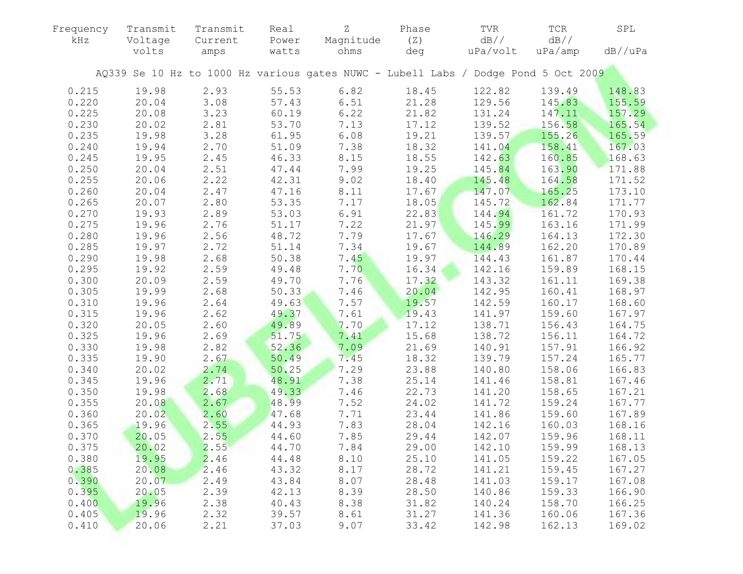| Frequency | Transmit | Transmit | Real  | Ζ                                                                                  | Phase | TVR      | TCR     | SPL     |
|-----------|----------|----------|-------|------------------------------------------------------------------------------------|-------|----------|---------|---------|
| kHz       | Voltage  | Current  | Power | Magnitude                                                                          | (Z)   | dB//     | dB//    |         |
|           | volts    | amps     | watts | ohms                                                                               | deg   | uPa/volt | uPa/amp | dB//uPa |
|           |          |          |       | AQ339 Se 10 Hz to 1000 Hz various gates NUWC - Lubell Labs / Dodge Pond 5 Oct 2009 |       |          |         |         |
| 0.215     | 19.98    | 2.93     | 55.53 | 6.82                                                                               | 18.45 | 122.82   | 139.49  | 148.83  |
| 0.220     | 20.04    | 3.08     | 57.43 | 6.51                                                                               | 21.28 | 129.56   | 145.83  | 155.59  |
| 0.225     | 20.08    | 3.23     | 60.19 | 6.22                                                                               | 21.82 | 131.24   | 147.11  | 157.29  |
| 0.230     | 20.02    | 2.81     | 53.70 | 7.13                                                                               | 17.12 | 139.52   | 156.58  | 165.54  |
| 0.235     | 19.98    | 3.28     | 61.95 | 6.08                                                                               | 19.21 | 139.57   | 155.26  | 165.59  |
| 0.240     | 19.94    | 2.70     | 51.09 | 7.38                                                                               | 18.32 | 141.04   | 158.41  | 167.03  |
| 0.245     | 19.95    | 2.45     | 46.33 | 8.15                                                                               | 18.55 | 142.63   | 160.85  | 168.63  |
| 0.250     | 20.04    | 2.51     | 47.44 | 7.99                                                                               | 19.25 | 145.84   | 163.90  | 171.88  |
| 0.255     | 20.06    | 2.22     | 42.31 | 9.02                                                                               | 18.40 | 145.48   | 164.58  | 171.52  |
| 0.260     | 20.04    | 2.47     | 47.16 | 8.11                                                                               | 17.67 | 147.07   | 165.25  | 173.10  |
| 0.265     | 20.07    | 2.80     | 53.35 | 7.17                                                                               | 18.05 | 145.72   | 162.84  | 171.77  |
| 0.270     | 19.93    | 2.89     | 53.03 | 6.91                                                                               | 22.83 | 144.94   | 161.72  | 170.93  |
| 0.275     | 19.96    | 2.76     | 51.17 | 7.22                                                                               | 21.97 | 145.99   | 163.16  | 171.99  |
| 0.280     | 19.96    | 2.56     | 48.72 | 7.79                                                                               | 17.67 | 146.29   | 164.13  | 172.30  |
| 0.285     | 19.97    | 2.72     | 51.14 | 7.34                                                                               | 19.67 | 144.89   | 162.20  | 170.89  |
| 0.290     | 19.98    | 2.68     | 50.38 | 7.45                                                                               | 19.97 | 144.43   | 161.87  | 170.44  |
| 0.295     | 19.92    | 2.59     | 49.48 | 7.70                                                                               | 16.34 | 142.16   | 159.89  | 168.15  |
| 0.300     | 20.09    | 2.59     | 49.70 | 7.76                                                                               | 17.32 | 143.32   | 161.11  | 169.38  |
| 0.305     | 19.99    | 2.68     | 50.33 | 7.46                                                                               | 20.04 | 142.95   | 160.41  | 168.97  |
| 0.310     | 19.96    | 2.64     | 49.63 | 7.57                                                                               | 19.57 | 142.59   | 160.17  | 168.60  |
| 0.315     | 19.96    | 2.62     | 49.37 | 7.61                                                                               | 19.43 | 141.97   | 159.60  | 167.97  |
| 0.320     | 20.05    | 2.60     | 49.89 | 7.70                                                                               | 17.12 | 138.71   | 156.43  | 164.75  |
| 0.325     | 19.96    | 2.69     | 51.75 | 7.41                                                                               | 15.68 | 138.72   | 156.11  | 164.72  |
| 0.330     | 19.98    | 2.82     | 52.36 | 7.09                                                                               | 21.69 | 140.91   | 157.91  | 166.92  |
| 0.335     | 19.90    | 2.67     | 50.49 | 7.45                                                                               | 18.32 | 139.79   | 157.24  | 165.77  |
| 0.340     | 20.02    | 2.74     | 50.25 | 7.29                                                                               | 23.88 | 140.80   | 158.06  | 166.83  |
| 0.345     | 19.96    | 2.71     | 48.91 | 7.38                                                                               | 25.14 | 141.46   | 158.81  | 167.46  |
| 0.350     | 19.98    | 2.68     | 49.33 | 7.46                                                                               | 22.73 | 141.20   | 158.65  | 167.21  |
| 0.355     | 20.08    | 2.67     | 48.99 | 7.52                                                                               | 24.02 | 141.72   | 159.24  | 167.77  |
| 0.360     | 20.02    | 2.60     | 47.68 | 7.71                                                                               | 23.44 | 141.86   | 159.60  | 167.89  |
| 0.365     | 19.96    | 2.55     | 44.93 | 7.83                                                                               | 28.04 | 142.16   | 160.03  | 168.16  |
| 0.370     | 20.05    | 2.55     | 44.60 | 7.85                                                                               | 29.44 | 142.07   | 159.96  | 168.11  |
| 0.375     | 20.02    | 2.55     | 44.70 | 7.84                                                                               | 29.00 | 142.10   | 159.99  | 168.13  |
| 0.380     | 19.95    | 2.46     | 44.48 | 8.10                                                                               | 25.10 | 141.05   | 159.22  | 167.05  |
| 0.385     | 20.08    | 2.46     | 43.32 | 8.17                                                                               | 28.72 | 141.21   | 159.45  | 167.27  |
| 0.390     | 20.07    | 2.49     | 43.84 | 8.07                                                                               | 28.48 | 141.03   | 159.17  | 167.08  |
| 0.395     | 20.05    | 2.39     | 42.13 | 8.39                                                                               | 28.50 | 140.86   | 159.33  | 166.90  |
| 0.400     | 19.96    | 2.38     | 40.43 | 8.38                                                                               | 31.82 | 140.24   | 158.70  | 166.25  |
| 0.405     | 19.96    | 2.32     | 39.57 | 8.61                                                                               | 31.27 | 141.36   | 160.06  | 167.36  |
| 0.410     | 20.06    | 2.21     | 37.03 | 9.07                                                                               | 33.42 | 142.98   | 162.13  | 169.02  |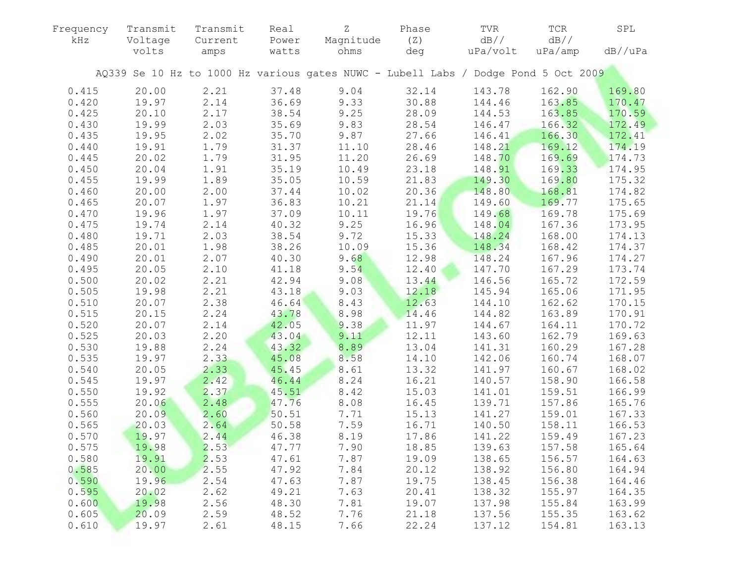| Frequency | Transmit | Transmit | Real  | Ζ                                                                                  | Phase | TVR      | TCR     | SPL     |
|-----------|----------|----------|-------|------------------------------------------------------------------------------------|-------|----------|---------|---------|
| kHz       | Voltage  | Current  | Power | Magnitude                                                                          | (Z)   | dB//     | dB//    |         |
|           | volts    | amps     | watts | ohms                                                                               | deg   | uPa/volt | uPa/amp | dB//uPa |
|           |          |          |       |                                                                                    |       |          |         |         |
|           |          |          |       | AQ339 Se 10 Hz to 1000 Hz various gates NUWC - Lubell Labs / Dodge Pond 5 Oct 2009 |       |          |         |         |
| 0.415     | 20.00    | 2.21     | 37.48 | 9.04                                                                               | 32.14 | 143.78   | 162.90  | 169.80  |
| 0.420     | 19.97    | 2.14     | 36.69 | 9.33                                                                               | 30.88 | 144.46   | 163.85  | 170.47  |
| 0.425     | 20.10    | 2.17     | 38.54 | 9.25                                                                               | 28.09 | 144.53   | 163.85  | 170.59  |
| 0.430     | 19.99    | 2.03     | 35.69 | 9.83                                                                               | 28.54 | 146.47   | 166.32  | 172.49  |
| 0.435     | 19.95    | 2.02     | 35.70 | 9.87                                                                               | 27.66 | 146.41   | 166.30  | 172.41  |
| 0.440     | 19.91    | 1.79     | 31.37 | 11.10                                                                              | 28.46 | 148.21   | 169.12  | 174.19  |
| 0.445     | 20.02    | 1.79     | 31.95 | 11.20                                                                              | 26.69 | 148.70   | 169.69  | 174.73  |
| 0.450     | 20.04    | 1.91     | 35.19 | 10.49                                                                              | 23.18 | 148.91   | 169.33  | 174.95  |
| 0.455     | 19.99    | 1.89     | 35.05 | 10.59                                                                              | 21.83 | 149.30   | 169.80  | 175.32  |
| 0.460     | 20.00    | 2.00     | 37.44 | 10.02                                                                              | 20.36 | 148.80   | 168.81  | 174.82  |
| 0.465     | 20.07    | 1.97     | 36.83 | 10.21                                                                              | 21.14 | 149.60   | 169.77  | 175.65  |
| 0.470     | 19.96    | 1.97     | 37.09 | 10.11                                                                              | 19.76 | 149.68   | 169.78  | 175.69  |
| 0.475     | 19.74    | 2.14     | 40.32 | 9.25                                                                               | 16.96 | 148.04   | 167.36  | 173.95  |
| 0.480     | 19.71    | 2.03     | 38.54 | 9.72                                                                               | 15.33 | 148.24   | 168.00  | 174.13  |
| 0.485     | 20.01    | 1.98     | 38.26 | 10.09                                                                              | 15.36 | 148.34   | 168.42  | 174.37  |
| 0.490     | 20.01    | 2.07     | 40.30 | 9.68                                                                               | 12.98 | 148.24   | 167.96  | 174.27  |
| 0.495     | 20.05    | 2.10     | 41.18 | 9.54                                                                               | 12.40 | 147.70   | 167.29  | 173.74  |
| 0.500     | 20.02    | 2.21     | 42.94 | 9.08                                                                               | 13.44 | 146.56   | 165.72  | 172.59  |
| 0.505     | 19.98    | 2.21     | 43.18 | 9.03                                                                               | 12.18 | 145.94   | 165.06  | 171.95  |
| 0.510     | 20.07    | 2.38     | 46.64 | 8.43                                                                               | 12.63 | 144.10   | 162.62  | 170.15  |
| 0.515     | 20.15    | 2.24     | 43.78 | 8.98                                                                               | 14.46 | 144.82   | 163.89  | 170.91  |
| 0.520     | 20.07    | 2.14     | 42.05 | 9.38                                                                               | 11.97 | 144.67   | 164.11  | 170.72  |
| 0.525     | 20.03    | 2.20     | 43.04 | 9.11                                                                               | 12.11 | 143.60   | 162.79  | 169.63  |
| 0.530     | 19.88    | 2.24     | 43.32 | 8.89                                                                               | 13.04 | 141.31   | 160.29  | 167.28  |
| 0.535     | 19.97    | 2.33     | 45.08 | 8.58                                                                               | 14.10 | 142.06   | 160.74  | 168.07  |
| 0.540     | 20.05    | 2.33     | 45.45 | 8.61                                                                               | 13.32 | 141.97   | 160.67  | 168.02  |
| 0.545     | 19.97    | 2.42     | 46.44 | 8.24                                                                               | 16.21 | 140.57   | 158.90  | 166.58  |
| 0.550     | 19.92    | 2.37     | 45.51 | 8.42                                                                               | 15.03 | 141.01   | 159.51  | 166.99  |
| 0.555     | 20.06    | 2.48     | 47.76 | 8.08                                                                               | 16.45 | 139.71   | 157.86  | 165.76  |
| 0.560     | 20.09    | 2.60     | 50.51 | 7.71                                                                               | 15.13 | 141.27   | 159.01  | 167.33  |
| 0.565     | 20.03    | 2.64     | 50.58 | 7.59                                                                               | 16.71 | 140.50   | 158.11  | 166.53  |
| 0.570     | 19.97    | 2.44     | 46.38 | 8.19                                                                               | 17.86 | 141.22   | 159.49  | 167.23  |
| 0.575     | 19.98    | 2.53     | 47.77 | 7.90                                                                               | 18.85 | 139.63   | 157.58  | 165.64  |
| 0.580     | 19.91    | 2.53     | 47.61 | 7.87                                                                               | 19.09 | 138.65   | 156.57  | 164.63  |
| 0.585     | 20.00    | 2.55     | 47.92 | 7.84                                                                               | 20.12 | 138.92   | 156.80  | 164.94  |
| 0.590     | 19.96    | 2.54     | 47.63 | 7.87                                                                               | 19.75 | 138.45   | 156.38  | 164.46  |
| 0.595     | 20.02    | 2.62     | 49.21 | 7.63                                                                               | 20.41 | 138.32   | 155.97  | 164.35  |
| 0.600     | 19.98    | 2.56     | 48.30 | 7.81                                                                               | 19.07 | 137.98   | 155.84  | 163.99  |
| 0.605     | 20.09    | 2.59     | 48.52 | 7.76                                                                               | 21.18 | 137.56   | 155.35  | 163.62  |
| 0.610     | 19.97    | 2.61     | 48.15 | 7.66                                                                               | 22.24 | 137.12   | 154.81  | 163.13  |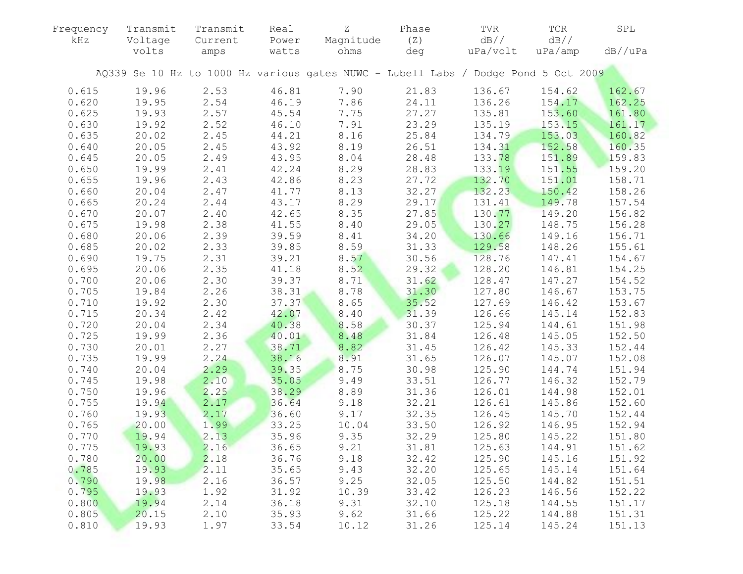| Frequency | Transmit                                                                           | Transmit | Real  | Z         | Phase | TVR      | TCR     | SPL     |
|-----------|------------------------------------------------------------------------------------|----------|-------|-----------|-------|----------|---------|---------|
| kHz       | Voltage                                                                            | Current  | Power | Magnitude | (Z)   | dB//     | dB//    |         |
|           | volts                                                                              | amps     | watts | ohms      | deg   | uPa/volt | uPa/amp | dB//uPa |
|           | AQ339 Se 10 Hz to 1000 Hz various gates NUWC - Lubell Labs / Dodge Pond 5 Oct 2009 |          |       |           |       |          |         |         |
|           |                                                                                    |          |       |           |       |          |         |         |
| 0.615     | 19.96                                                                              | 2.53     | 46.81 | 7.90      | 21.83 | 136.67   | 154.62  | 162.67  |
| 0.620     | 19.95                                                                              | 2.54     | 46.19 | 7.86      | 24.11 | 136.26   | 154.17  | 162.25  |
| 0.625     | 19.93                                                                              | 2.57     | 45.54 | 7.75      | 27.27 | 135.81   | 153.60  | 161.80  |
| 0.630     | 19.92                                                                              | 2.52     | 46.10 | 7.91      | 23.29 | 135.19   | 153.15  | 161.17  |
| 0.635     | 20.02                                                                              | 2.45     | 44.21 | 8.16      | 25.84 | 134.79   | 153.03  | 160.82  |
| 0.640     | 20.05                                                                              | 2.45     | 43.92 | 8.19      | 26.51 | 134.31   | 152.58  | 160.35  |
| 0.645     | 20.05                                                                              | 2.49     | 43.95 | 8.04      | 28.48 | 133.78   | 151.89  | 159.83  |
| 0.650     | 19.99                                                                              | 2.41     | 42.24 | 8.29      | 28.83 | 133.19   | 151.55  | 159.20  |
| 0.655     | 19.96                                                                              | 2.43     | 42.86 | 8.23      | 27.72 | 132.70   | 151.01  | 158.71  |
| 0.660     | 20.04                                                                              | 2.47     | 41.77 | 8.13      | 32.27 | 132.23   | 150.42  | 158.26  |
| 0.665     | 20.24                                                                              | 2.44     | 43.17 | 8.29      | 29.17 | 131.41   | 149.78  | 157.54  |
| 0.670     | 20.07                                                                              | 2.40     | 42.65 | 8.35      | 27.85 | 130.77   | 149.20  | 156.82  |
| 0.675     | 19.98                                                                              | 2.38     | 41.55 | 8.40      | 29.05 | 130.27   | 148.75  | 156.28  |
| 0.680     | 20.06                                                                              | 2.39     | 39.59 | 8.41      | 34.20 | 130.66   | 149.16  | 156.71  |
| 0.685     | 20.02                                                                              | 2.33     | 39.85 | 8.59      | 31.33 | 129.58   | 148.26  | 155.61  |
| 0.690     | 19.75                                                                              | 2.31     | 39.21 | 8.57      | 30.56 | 128.76   | 147.41  | 154.67  |
| 0.695     | 20.06                                                                              | 2.35     | 41.18 | 8.52      | 29.32 | 128.20   | 146.81  | 154.25  |
| 0.700     | 20.06                                                                              | 2.30     | 39.37 | 8.71      | 31.62 | 128.47   | 147.27  | 154.52  |
| 0.705     | 19.84                                                                              | 2.26     | 38.31 | 8.78      | 31.30 | 127.80   | 146.67  | 153.75  |
| 0.710     | 19.92                                                                              | 2.30     | 37.37 | 8.65      | 35.52 | 127.69   | 146.42  | 153.67  |
| 0.715     | 20.34                                                                              | 2.42     | 42.07 | 8.40      | 31.39 | 126.66   | 145.14  | 152.83  |
| 0.720     | 20.04                                                                              | 2.34     | 40.38 | 8.58      | 30.37 | 125.94   | 144.61  | 151.98  |
| 0.725     | 19.99                                                                              | 2.36     | 40.01 | 8.48      | 31.84 | 126.48   | 145.05  | 152.50  |
| 0.730     | 20.01                                                                              | 2.27     | 38.71 | 8.82      | 31.45 | 126.42   | 145.33  | 152.44  |
| 0.735     | 19.99                                                                              | 2.24     | 38.16 | 8.91      | 31.65 | 126.07   | 145.07  | 152.08  |
| 0.740     | 20.04                                                                              | 2.29     | 39.35 | 8.75      | 30.98 | 125.90   | 144.74  | 151.94  |
| 0.745     | 19.98                                                                              | 2.10     | 35.05 | 9.49      | 33.51 | 126.77   | 146.32  | 152.79  |
| 0.750     | 19.96                                                                              | 2.25     | 38.29 | 8.89      | 31.36 | 126.01   | 144.98  | 152.01  |
| 0.755     | 19.94                                                                              | 2.17     | 36.64 | 9.18      | 32.21 | 126.61   | 145.86  | 152.60  |
| 0.760     | 19.93                                                                              | 2.17     | 36.60 | 9.17      | 32.35 | 126.45   | 145.70  | 152.44  |
| 0.765     | 20.00                                                                              | 1.99     | 33.25 | 10.04     | 33.50 | 126.92   | 146.95  | 152.94  |
| 0.770     | 19.94                                                                              | 2.13     | 35.96 | 9.35      | 32.29 | 125.80   | 145.22  | 151.80  |
| 0.775     | 19.93                                                                              | 2.16     | 36.65 | 9.21      | 31.81 | 125.63   | 144.91  | 151.62  |
| 0.780     | 20.00                                                                              | 2.18     | 36.76 | 9.18      | 32.42 | 125.90   | 145.16  | 151.92  |
| 0.785     | 19.93                                                                              | 2.11     | 35.65 | 9.43      | 32.20 | 125.65   | 145.14  | 151.64  |
| 0.790     | 19.98                                                                              | 2.16     | 36.57 | 9.25      | 32.05 | 125.50   | 144.82  | 151.51  |
| 0.795     | 19.93                                                                              | 1.92     | 31.92 | 10.39     | 33.42 | 126.23   | 146.56  | 152.22  |
| 0.800     | 19.94                                                                              | 2.14     | 36.18 | 9.31      | 32.10 | 125.18   | 144.55  | 151.17  |
| 0.805     | 20.15                                                                              | 2.10     | 35.93 | 9.62      | 31.66 | 125.22   | 144.88  | 151.31  |
| 0.810     | 19.93                                                                              | 1.97     | 33.54 | 10.12     | 31.26 | 125.14   | 145.24  | 151.13  |